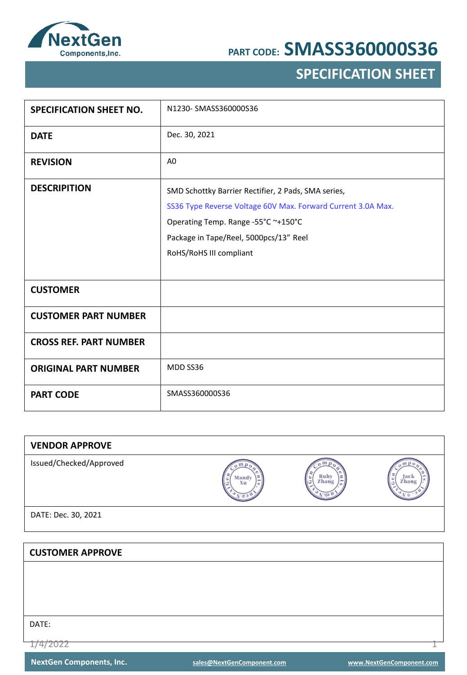

### **SPECIFICATION SHEET**

| <b>SPECIFICATION SHEET NO.</b> | N1230-SMASS360000S36                                                                                                                                                                                                            |
|--------------------------------|---------------------------------------------------------------------------------------------------------------------------------------------------------------------------------------------------------------------------------|
| <b>DATE</b>                    | Dec. 30, 2021                                                                                                                                                                                                                   |
| <b>REVISION</b>                | A <sub>0</sub>                                                                                                                                                                                                                  |
| <b>DESCRIPITION</b>            | SMD Schottky Barrier Rectifier, 2 Pads, SMA series,<br>SS36 Type Reverse Voltage 60V Max. Forward Current 3.0A Max.<br>Operating Temp. Range -55°C ~+150°C<br>Package in Tape/Reel, 5000pcs/13" Reel<br>RoHS/RoHS III compliant |
| <b>CUSTOMER</b>                |                                                                                                                                                                                                                                 |
| <b>CUSTOMER PART NUMBER</b>    |                                                                                                                                                                                                                                 |
| <b>CROSS REF. PART NUMBER</b>  |                                                                                                                                                                                                                                 |
| <b>ORIGINAL PART NUMBER</b>    | MDD SS36                                                                                                                                                                                                                        |
| <b>PART CODE</b>               | SMASS360000S36                                                                                                                                                                                                                  |

| <b>VENDOR APPROVE</b>   |             |                         |               |
|-------------------------|-------------|-------------------------|---------------|
| Issued/Checked/Approved | Mandy<br>Xu | Ruby<br>Zhang<br>٥<br>G | Jack<br>Zhang |
| DATE: Dec. 30, 2021     |             |                         |               |
|                         |             |                         |               |
| <b>CUSTOMER APPROVE</b> |             |                         |               |
|                         |             |                         |               |
|                         |             |                         |               |
|                         |             |                         |               |
|                         |             |                         |               |

DATE:

1/4/2022 1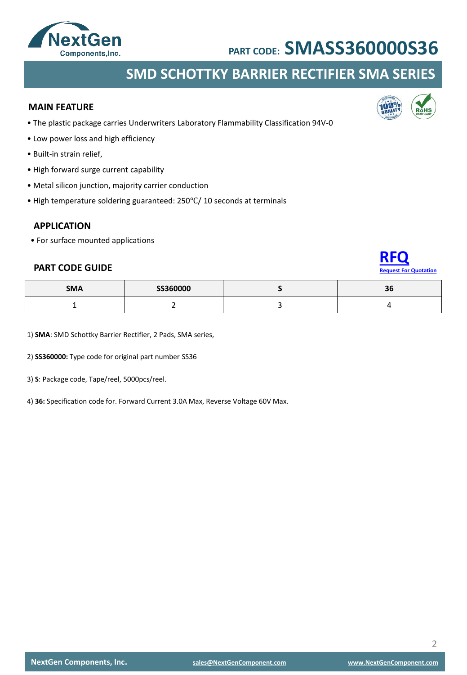

### **SMD SCHOTTKY BARRIER RECTIFIER SMA SERIES**

#### **MAIN FEATURE**

- The plastic package carries Underwriters Laboratory Flammability Classification 94V-0
- Low power loss and high efficiency
- Built-in strain relief,
- High forward surge current capability
- Metal silicon junction, majority carrier conduction
- High temperature soldering guaranteed: 250℃/ 10 seconds at terminals

#### **APPLICATION**

• For surface mounted applications

#### **PART CODE GUIDE**

| <b>SMA</b> | SS360000 | $\sim$<br>56 |
|------------|----------|--------------|
|            |          |              |

1) **SMA**: SMD Schottky Barrier Rectifier, 2 Pads, SMA series,

2) **SS360000:** Type code for original part number SS36

3) **S**: Package code, Tape/reel, 5000pcs/reel.

4) **36:** Specification code for. Forward Current 3.0A Max, Reverse Voltage 60V Max.



**[RFQ](mailto:sales@NextGenComponent.com?subject=RFQ%20for%20PART%20CODE:%20SMASS360000S36)**

**Rest For Quotation** 

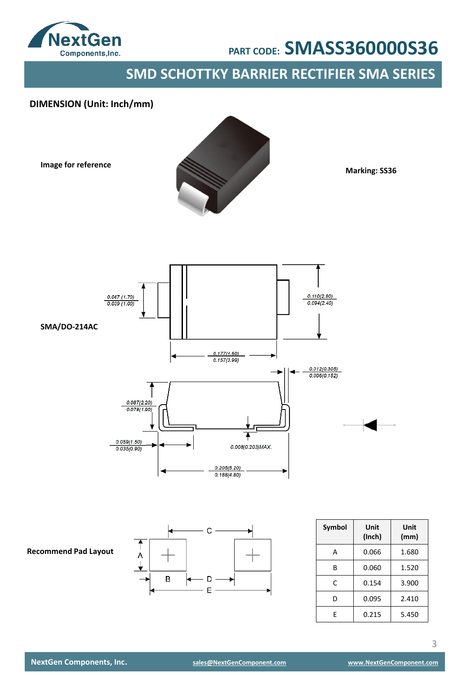

### **SMD SCHOTTKY BARRIER RECTIFIER SMA SERIES**

### **DIMENSION (Unit: Inch/mm)**

**Image for reference**



**Marking: SS36**



**Recommend Pad Layout**



| Symbol | Unit<br>(Inch) | Unit<br>(mm) |
|--------|----------------|--------------|
| А      | 0.066          | 1.680        |
| R      | 0.060          | 1.520        |
| C      | 0.154          | 3.900        |
| D      | 0.095          | 2.410        |
| F      | 0.215          | 5.450        |

3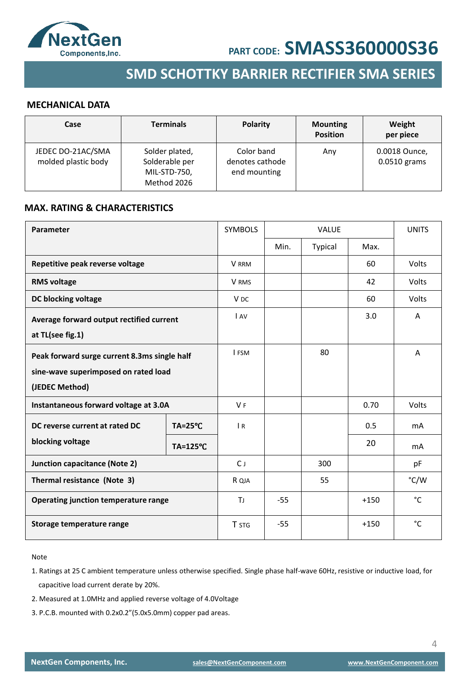



### **SMD SCHOTTKY BARRIER RECTIFIER SMA SERIES**

#### **MECHANICAL DATA**

| Case                                     | <b>Terminals</b>                                                | <b>Polarity</b>                               | <b>Mounting</b><br><b>Position</b> | Weight<br>per piece             |
|------------------------------------------|-----------------------------------------------------------------|-----------------------------------------------|------------------------------------|---------------------------------|
| JEDEC DO-21AC/SMA<br>molded plastic body | Solder plated,<br>Solderable per<br>MIL-STD-750,<br>Method 2026 | Color band<br>denotes cathode<br>end mounting | Any                                | 0.0018 Ounce,<br>$0.0510$ grams |

#### **MAX. RATING & CHARACTERISTICS**

| Parameter                                    |                    | <b>SYMBOLS</b>  | <b>VALUE</b> |         |        | <b>UNITS</b> |
|----------------------------------------------|--------------------|-----------------|--------------|---------|--------|--------------|
|                                              |                    |                 | Min.         | Typical | Max.   |              |
| Repetitive peak reverse voltage              |                    | V RRM           |              |         | 60     | Volts        |
| <b>RMS voltage</b>                           |                    | V RMS           |              |         | 42     | Volts        |
| DC blocking voltage                          |                    | V <sub>DC</sub> |              |         | 60     | Volts        |
| Average forward output rectified current     |                    | <b>LAV</b>      |              |         | 3.0    | A            |
| at TL(see fig.1)                             |                    |                 |              |         |        |              |
| Peak forward surge current 8.3ms single half |                    | <b>I FSM</b>    |              | 80      |        | A            |
| sine-wave superimposed on rated load         |                    |                 |              |         |        |              |
| (JEDEC Method)                               |                    |                 |              |         |        |              |
| Instantaneous forward voltage at 3.0A        |                    | <b>VF</b>       |              |         | 0.70   | Volts        |
| DC reverse current at rated DC               | $TA = 25^{\circ}C$ | $\overline{R}$  |              |         | 0.5    | mA           |
| blocking voltage                             | TA=125°C           |                 |              |         | 20     | mA           |
| <b>Junction capacitance (Note 2)</b>         |                    | $C_{\perp}$     |              | 300     |        | pF           |
| Thermal resistance (Note 3)                  |                    | R QJA           |              | 55      |        | °C/W         |
| <b>Operating junction temperature range</b>  |                    | TJ.             | $-55$        |         | $+150$ | $^{\circ}$ C |
| Storage temperature range                    |                    | <b>T</b> STG    | $-55$        |         | $+150$ | $^{\circ}$ C |

#### Note

- 1. Ratings at 25 C ambient temperature unless otherwise specified. Single phase half-wave 60Hz, resistive or inductive load, for capacitive load current derate by 20%.
- 2. Measured at 1.0MHz and applied reverse voltage of 4.0Voltage
- 3. P.C.B. mounted with 0.2x0.2"(5.0x5.0mm) copper pad areas.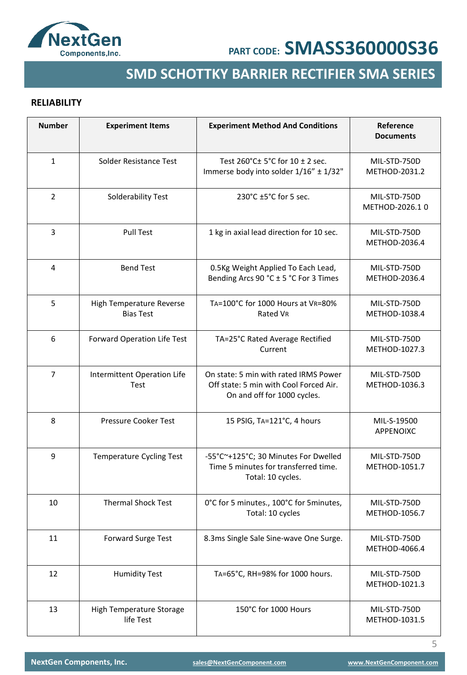

## **SMD SCHOTTKY BARRIER RECTIFIER SMA SERIES**

### **RELIABILITY**

| <b>Number</b>  | <b>Experiment Items</b>                      | <b>Experiment Method And Conditions</b>                                                                        | Reference<br><b>Documents</b>  |
|----------------|----------------------------------------------|----------------------------------------------------------------------------------------------------------------|--------------------------------|
| $\mathbf{1}$   | Solder Resistance Test                       | Test 260°C± 5°C for 10 ± 2 sec.<br>Immerse body into solder 1/16" ± 1/32"                                      | MIL-STD-750D<br>METHOD-2031.2  |
| $\overline{2}$ | Solderability Test                           | 230°C ±5°C for 5 sec.                                                                                          | MIL-STD-750D<br>METHOD-2026.10 |
| 3              | <b>Pull Test</b>                             | 1 kg in axial lead direction for 10 sec.                                                                       | MIL-STD-750D<br>METHOD-2036.4  |
| 4              | <b>Bend Test</b>                             | 0.5Kg Weight Applied To Each Lead,<br>Bending Arcs 90 °C ± 5 °C For 3 Times                                    | MIL-STD-750D<br>METHOD-2036.4  |
| 5              | High Temperature Reverse<br><b>Bias Test</b> | TA=100°C for 1000 Hours at VR=80%<br>Rated VR                                                                  | MIL-STD-750D<br>METHOD-1038.4  |
| 6              | Forward Operation Life Test                  | TA=25°C Rated Average Rectified<br>Current                                                                     | MIL-STD-750D<br>METHOD-1027.3  |
| $\overline{7}$ | Intermittent Operation Life<br>Test          | On state: 5 min with rated IRMS Power<br>Off state: 5 min with Cool Forced Air.<br>On and off for 1000 cycles. | MIL-STD-750D<br>METHOD-1036.3  |
| 8              | Pressure Cooker Test                         | 15 PSIG, TA=121°C, 4 hours                                                                                     | MIL-S-19500<br>APPENOIXC       |
| 9              | <b>Temperature Cycling Test</b>              | -55°C~+125°C; 30 Minutes For Dwelled<br>Time 5 minutes for transferred time.<br>Total: 10 cycles.              | MIL-STD-750D<br>METHOD-1051.7  |
| 10             | <b>Thermal Shock Test</b>                    | 0°C for 5 minutes., 100°C for 5 minutes,<br>Total: 10 cycles                                                   | MIL-STD-750D<br>METHOD-1056.7  |
| 11             | Forward Surge Test                           | 8.3ms Single Sale Sine-wave One Surge.                                                                         | MIL-STD-750D<br>METHOD-4066.4  |
| 12             | <b>Humidity Test</b>                         | TA=65°C, RH=98% for 1000 hours.                                                                                | MIL-STD-750D<br>METHOD-1021.3  |
| 13             | High Temperature Storage<br>life Test        | 150°C for 1000 Hours                                                                                           | MIL-STD-750D<br>METHOD-1031.5  |

5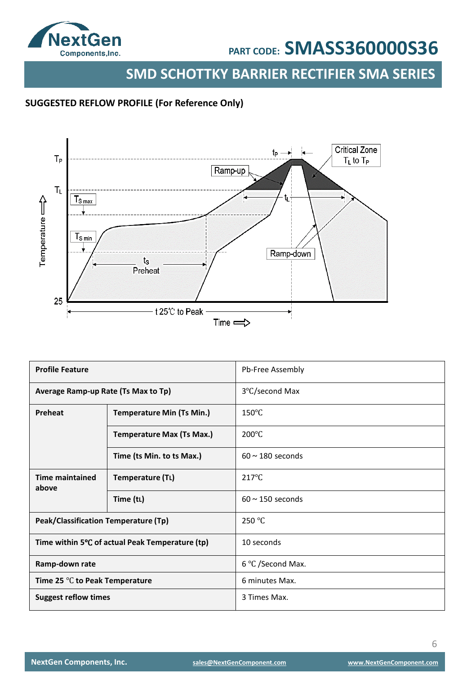

**SMD SCHOTTKY BARRIER RECTIFIER SMA SERIES**

### **SUGGESTED REFLOW PROFILE (For Reference Only)**



| <b>Profile Feature</b>                           |                                  | Pb-Free Assembly      |
|--------------------------------------------------|----------------------------------|-----------------------|
| Average Ramp-up Rate (Ts Max to Tp)              |                                  | 3°C/second Max        |
| Preheat                                          | <b>Temperature Min (Ts Min.)</b> | $150^{\circ}$ C       |
|                                                  | <b>Temperature Max (Ts Max.)</b> | $200^{\circ}$ C       |
|                                                  | Time (ts Min. to ts Max.)        | $60 \sim 180$ seconds |
| <b>Time maintained</b><br>above                  | Temperature (TL)                 | $217^{\circ}$ C       |
|                                                  | Time (tL)                        | $60 \sim 150$ seconds |
| Peak/Classification Temperature (Tp)             |                                  | 250 °C                |
| Time within 5°C of actual Peak Temperature (tp)  |                                  | 10 seconds            |
| Ramp-down rate                                   |                                  | 6 °C /Second Max.     |
| Time 25 $\mathrm{^{\circ}C}$ to Peak Temperature |                                  | 6 minutes Max.        |
| <b>Suggest reflow times</b>                      |                                  | 3 Times Max.          |

6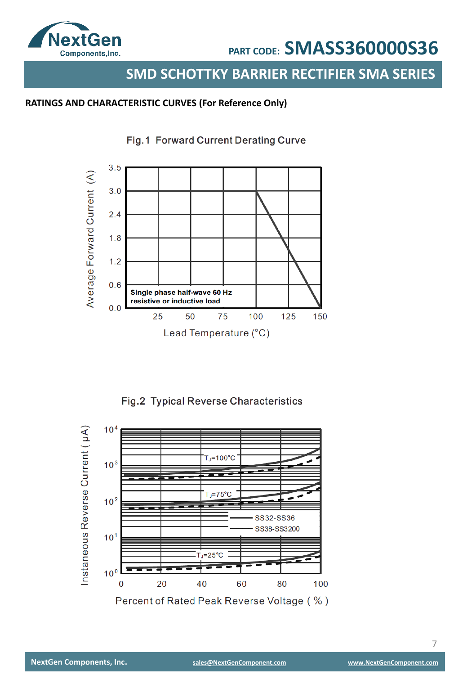

### **SMD SCHOTTKY BARRIER RECTIFIER SMA SERIES**

### **RATINGS AND CHARACTERISTIC CURVES (For Reference Only)**



Fig.1 Forward Current Derating Curve

Fig.2 Typical Reverse Characteristics

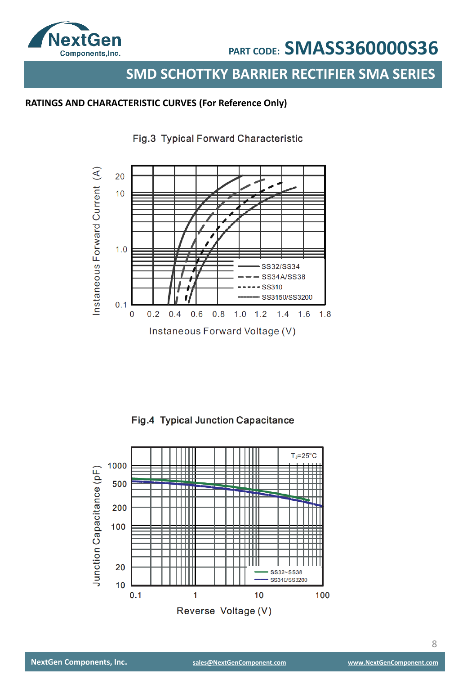

### **SMD SCHOTTKY BARRIER RECTIFIER SMA SERIES**

#### **RATINGS AND CHARACTERISTIC CURVES (For Reference Only)**



Fig.3 Typical Forward Characteristic

Fig.4 Typical Junction Capacitance

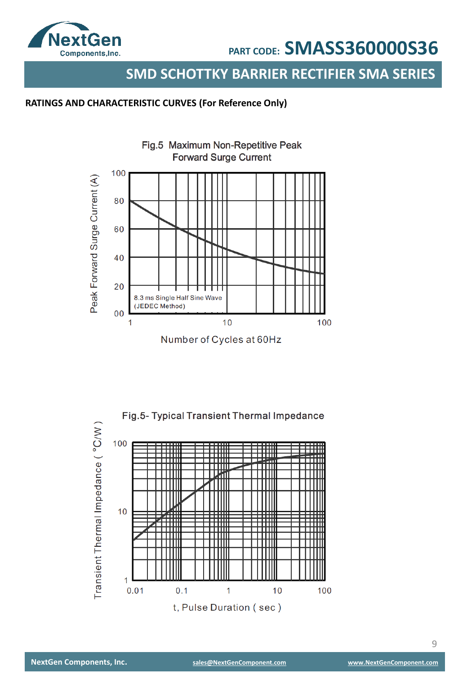

### **SMD SCHOTTKY BARRIER RECTIFIER SMA SERIES**

### **RATINGS AND CHARACTERISTIC CURVES (For Reference Only)**



Number of Cycles at 60Hz

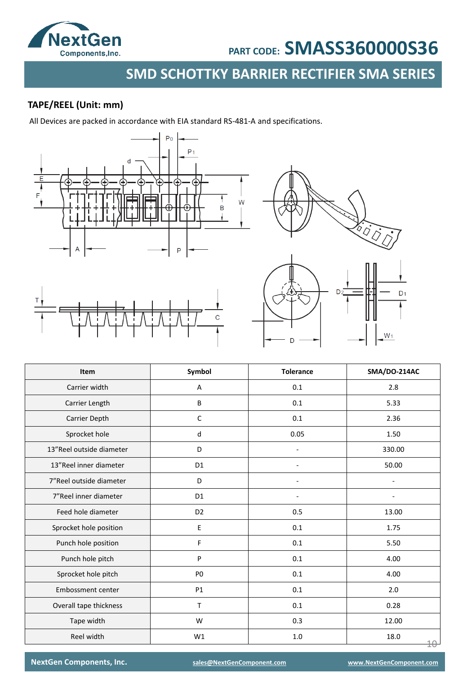

## **SMD SCHOTTKY BARRIER RECTIFIER SMA SERIES**

### **TAPE/REEL (Unit: mm)**

All Devices are packed in accordance with EIA standard RS-481-A and specifications.





| Item                     | Symbol         | <b>Tolerance</b> | SMA/DO-214AC      |
|--------------------------|----------------|------------------|-------------------|
| Carrier width            | Α              | 0.1              | 2.8               |
| Carrier Length           | B              | 0.1              | 5.33              |
| Carrier Depth            | $\mathsf C$    | 0.1              | 2.36              |
| Sprocket hole            | d              | 0.05             | 1.50              |
| 13"Reel outside diameter | D              |                  | 330.00            |
| 13"Reel inner diameter   | D <sub>1</sub> |                  | 50.00             |
| 7"Reel outside diameter  | D              |                  |                   |
| 7"Reel inner diameter    | D <sub>1</sub> |                  |                   |
| Feed hole diameter       | D <sub>2</sub> | 0.5              | 13.00             |
| Sprocket hole position   | $\mathsf E$    | 0.1              | 1.75              |
| Punch hole position      | F              | 0.1              | 5.50              |
| Punch hole pitch         | P              | 0.1              | 4.00              |
| Sprocket hole pitch      | P <sub>0</sub> | 0.1              | 4.00              |
| Embossment center        | P1             | $0.1\,$          | 2.0               |
| Overall tape thickness   | T              | 0.1              | 0.28              |
| Tape width               | W              | 0.3              | 12.00             |
| Reel width               | W1             | 1.0              | 18.0<br>$4\theta$ |

**NextGen Components, Inc. [sales@NextGenComponent.com](mailto:sales@NextGenComponent.com) [www.NextGenComponent.com](http://www.nextgencomponent.com/)**